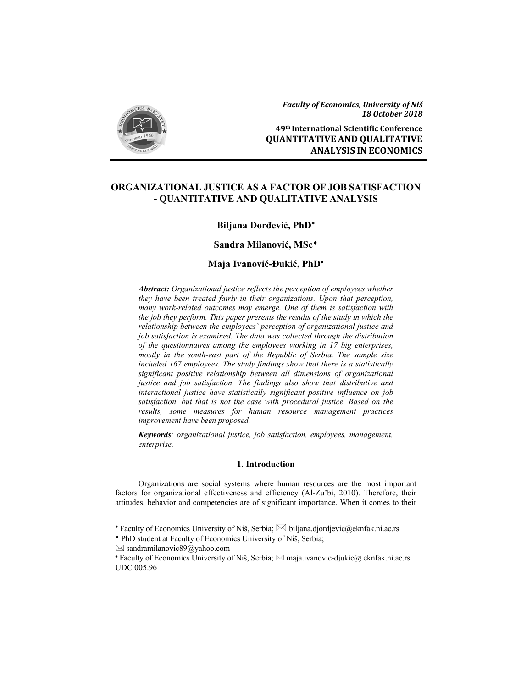

*Faculty of Economics, University of Niš 18 October 2018*

**49th International Scientific Conference QUANTITATIVE AND QUALITATIVE ANALYSIS IN ECONOMICS**

# **ORGANIZATIONAL JUSTICE AS A FACTOR OF JOB SATISFACTION - QUANTITATIVE AND QUALITATIVE ANALYSIS**

## **Biljana Đorđević, PhD**

## **Sandra Milanović, MSc**

## **Maja Ivanović-Đukić, PhD**

*Abstract: Organizational justice reflects the perception of employees whether they have been treated fairly in their organizations. Upon that perception, many work-related outcomes may emerge. One of them is satisfaction with the job they perform. This paper presents the results of the study in which the relationship between the employees` perception of organizational justice and job satisfaction is examined. The data was collected through the distribution of the questionnaires among the employees working in 17 big enterprises, mostly in the south-east part of the Republic of Serbia. The sample size included 167 employees. The study findings show that there is a statistically significant positive relationship between all dimensions of organizational justice and job satisfaction. The findings also show that distributive and interactional justice have statistically significant positive influence on job satisfaction, but that is not the case with procedural justice. Based on the results, some measures for human resource management practices improvement have been proposed.* 

*Keywords: organizational justice, job satisfaction, employees, management, enterprise.* 

# **1. Introduction**

Organizations are social systems where human resources are the most important factors for organizational effectiveness and efficiency (Al-Zu'bi, 2010). Therefore, their attitudes, behavior and competencies are of significant importance. When it comes to their

-

<sup>\*</sup> Faculty of Economics University of Niš, Serbia;  $\boxtimes$  biljana.djordjevic@eknfak.ni.ac.rs

PhD student at Faculty of Economics University of Niš, Serbia;

 $\boxtimes$  sandramilanovic89@yahoo.com

**<sup>•</sup> Faculty of Economics University of Niš, Serbia;**  $\boxtimes$  **maja.ivanovic-djukic** $@$  **eknfak.ni.ac.rs** UDC 005.96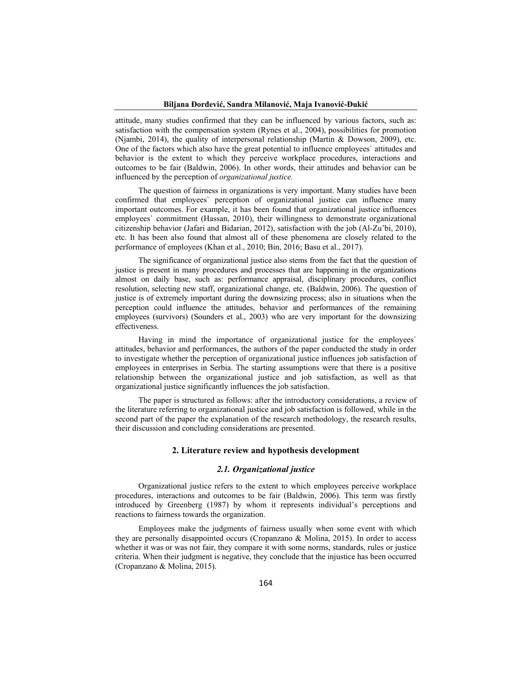attitude, many studies confirmed that they can be influenced by various factors, such as: satisfaction with the compensation system (Rynes et al., 2004), possibilities for promotion (Njambi, 2014), the quality of interpersonal relationship (Martin & Dowson, 2009), etc. One of the factors which also have the great potential to influence employees` attitudes and behavior is the extent to which they perceive workplace procedures, interactions and outcomes to be fair (Baldwin, 2006). In other words, their attitudes and behavior can be influenced by the perception of *organizational justice.*

The question of fairness in organizations is very important. Many studies have been confirmed that employees` perception of organizational justice can influence many important outcomes. For example, it has been found that organizational justice influences employees` commitment (Hassan, 2010), their willingness to demonstrate organizational citizenship behavior (Jafari and Bidarian, 2012), satisfaction with the job (Al-Zu'bi, 2010), etc. It has been also found that almost all of these phenomena are closely related to the performance of employees (Khan et al., 2010; Bin, 2016; Basu et al., 2017).

The significance of organizational justice also stems from the fact that the question of justice is present in many procedures and processes that are happening in the organizations almost on daily base, such as: performance appraisal, disciplinary procedures, conflict resolution, selecting new staff, organizational change, etc. (Baldwin, 2006). The question of justice is of extremely important during the downsizing process; also in situations when the perception could influence the attitudes, behavior and performances of the remaining employees (survivors) (Sounders et al., 2003) who are very important for the downsizing effectiveness.

Having in mind the importance of organizational justice for the employees attitudes, behavior and performances, the authors of the paper conducted the study in order to investigate whether the perception of organizational justice influences job satisfaction of employees in enterprises in Serbia. The starting assumptions were that there is a positive relationship between the organizational justice and job satisfaction, as well as that organizational justice significantly influences the job satisfaction.

The paper is structured as follows: after the introductory considerations, a review of the literature referring to organizational justice and job satisfaction is followed, while in the second part of the paper the explanation of the research methodology, the research results, their discussion and concluding considerations are presented.

## **2. Literature review and hypothesis development**

#### *2.1. Organizational justice*

Organizational justice refers to the extent to which employees perceive workplace procedures, interactions and outcomes to be fair (Baldwin, 2006). This term was firstly introduced by Greenberg (1987) by whom it represents individual's perceptions and reactions to fairness towards the organization.

Employees make the judgments of fairness usually when some event with which they are personally disappointed occurs (Cropanzano & Molina, 2015). In order to access whether it was or was not fair, they compare it with some norms, standards, rules or justice criteria. When their judgment is negative, they conclude that the injustice has been occurred (Cropanzano & Molina, 2015).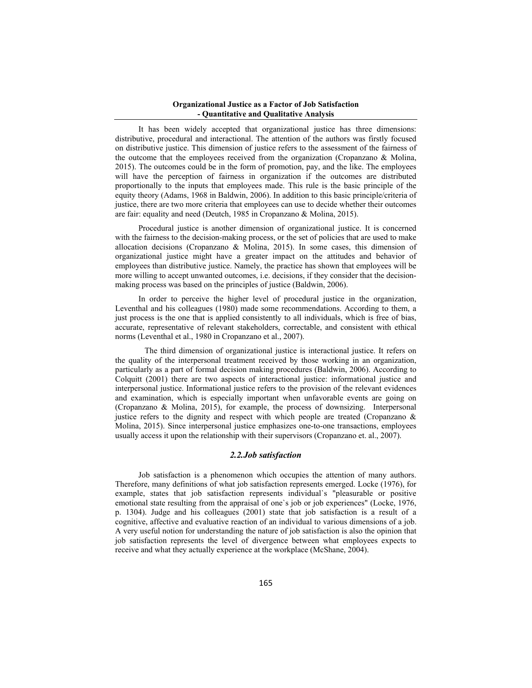It has been widely accepted that organizational justice has three dimensions: distributive, procedural and interactional. The attention of the authors was firstly focused on distributive justice. This dimension of justice refers to the assessment of the fairness of the outcome that the employees received from the organization (Cropanzano & Molina, 2015). The outcomes could be in the form of promotion, pay, and the like. The employees will have the perception of fairness in organization if the outcomes are distributed proportionally to the inputs that employees made. This rule is the basic principle of the equity theory (Adams, 1968 in Baldwin, 2006). In addition to this basic principle/criteria of justice, there are two more criteria that employees can use to decide whether their outcomes are fair: equality and need (Deutch, 1985 in Cropanzano & Molina, 2015).

Procedural justice is another dimension of organizational justice. It is concerned with the fairness to the decision-making process, or the set of policies that are used to make allocation decisions (Cropanzano & Molina, 2015). In some cases, this dimension of organizational justice might have a greater impact on the attitudes and behavior of employees than distributive justice. Namely, the practice has shown that employees will be more willing to accept unwanted outcomes, i.e. decisions, if they consider that the decisionmaking process was based on the principles of justice (Baldwin, 2006).

In order to perceive the higher level of procedural justice in the organization, Leventhal and his colleagues (1980) made some recommendations. According to them, a just process is the one that is applied consistently to all individuals, which is free of bias, accurate, representative of relevant stakeholders, correctable, and consistent with ethical norms (Leventhal et al., 1980 in Cropanzano et al., 2007).

 The third dimension of organizational justice is interactional justice. It refers on the quality of the interpersonal treatment received by those working in an organization, particularly as a part of formal decision making procedures (Baldwin, 2006). According to Colquitt (2001) there are two aspects of interactional justice: informational justice and interpersonal justice. Informational justice refers to the provision of the relevant evidences and examination, which is especially important when unfavorable events are going on (Cropanzano & Molina, 2015), for example, the process of downsizing. Interpersonal justice refers to the dignity and respect with which people are treated (Cropanzano & Molina, 2015). Since interpersonal justice emphasizes one-to-one transactions, employees usually access it upon the relationship with their supervisors (Cropanzano et. al., 2007).

### *2.2.Job satisfaction*

Job satisfaction is a phenomenon which occupies the attention of many authors. Therefore, many definitions of what job satisfaction represents emerged. Locke (1976), for example, states that job satisfaction represents individual`s "pleasurable or positive emotional state resulting from the appraisal of one`s job or job experiences" (Locke, 1976, p. 1304). Judge and his colleagues (2001) state that job satisfaction is a result of a cognitive, affective and evaluative reaction of an individual to various dimensions of a job. A very useful notion for understanding the nature of job satisfaction is also the opinion that job satisfaction represents the level of divergence between what employees expects to receive and what they actually experience at the workplace (McShane, 2004).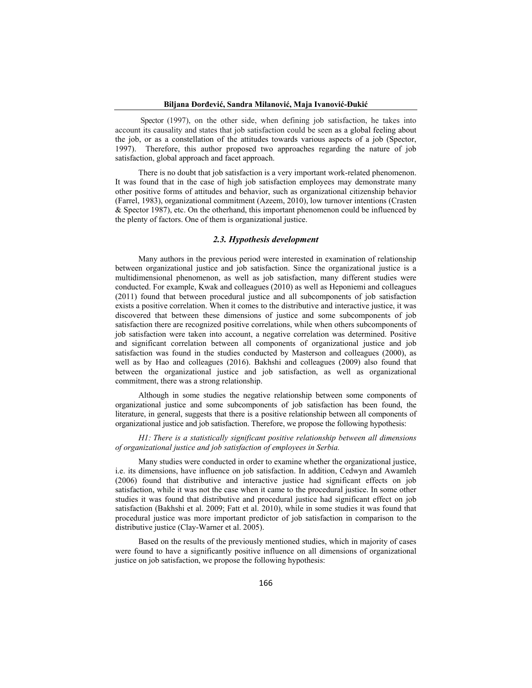#### **Biljana Đorđević, Sandra Milanović, Maja Ivanović-Đukić**

Spector (1997), on the other side, when defining job satisfaction, he takes into account its causality and states that job satisfaction could be seen as a global feeling about the job, or as a constellation of the attitudes towards various aspects of a job (Spector, 1997). Therefore, this author proposed two approaches regarding the nature of job satisfaction, global approach and facet approach.

There is no doubt that job satisfaction is a very important work-related phenomenon. It was found that in the case of high job satisfaction employees may demonstrate many other positive forms of attitudes and behavior, such as organizational citizenship behavior (Farrel, 1983), organizational commitment (Azeem, 2010), low turnover intentions (Crasten & Spector 1987), etc. On the otherhand, this important phenomenon could be influenced by the plenty of factors. One of them is organizational justice.

## *2.3. Hypothesis development*

Many authors in the previous period were interested in examination of relationship between organizational justice and job satisfaction. Since the organizational justice is a multidimensional phenomenon, as well as job satisfaction, many different studies were conducted. For example, Kwak and colleagues (2010) as well as Heponiemi and colleagues (2011) found that between procedural justice and all subcomponents of job satisfaction exists a positive correlation. When it comes to the distributive and interactive justice, it was discovered that between these dimensions of justice and some subcomponents of job satisfaction there are recognized positive correlations, while when others subcomponents of job satisfaction were taken into account, a negative correlation was determined. Positive and significant correlation between all components of organizational justice and job satisfaction was found in the studies conducted by Masterson and colleagues (2000), as well as by Hao and colleagues (2016). Bakhshi and colleagues (2009) also found that between the organizational justice and job satisfaction, as well as organizational commitment, there was a strong relationship.

Although in some studies the negative relationship between some components of organizational justice and some subcomponents of job satisfaction has been found, the literature, in general, suggests that there is a positive relationship between all components of organizational justice and job satisfaction. Therefore, we propose the following hypothesis:

*H1: There is a statistically significant positive relationship between all dimensions of organizational justice and job satisfaction of employees in Serbia.* 

Many studies were conducted in order to examine whether the organizational justice, i.e. its dimensions, have influence on job satisfaction. In addition, Cedwyn and Awamleh (2006) found that distributive and interactive justice had significant effects on job satisfaction, while it was not the case when it came to the procedural justice. In some other studies it was found that distributive and procedural justice had significant effect on job satisfaction (Bakhshi et al. 2009; Fatt et al. 2010), while in some studies it was found that procedural justice was more important predictor of job satisfaction in comparison to the distributive justice (Clay-Warner et al. 2005).

Based on the results of the previously mentioned studies, which in majority of cases were found to have a significantly positive influence on all dimensions of organizational justice on job satisfaction, we propose the following hypothesis: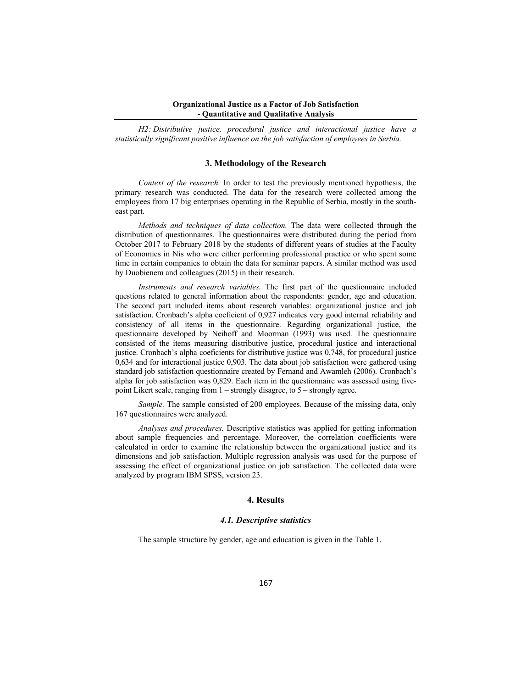*H2: Distributive justice, procedural justice and interactional justice have a statistically significant positive influence on the job satisfaction of employees in Serbia.* 

## **3. Methodology of the Research**

*Context of the research.* In order to test the previously mentioned hypothesis, the primary research was conducted. The data for the research were collected among the employees from 17 big enterprises operating in the Republic of Serbia, mostly in the southeast part.

*Methods and techniques of data collection.* The data were collected through the distribution of questionnaires. The questionnaires were distributed during the period from October 2017 to February 2018 by the students of different years of studies at the Faculty of Economics in Nis who were either performing professional practice or who spent some time in certain companies to obtain the data for seminar papers. A similar method was used by Duobienem and colleagues (2015) in their research.

*Instruments and research variables.* The first part of the questionnaire included questions related to general information about the respondents: gender, age and education. The second part included items about research variables: organizational justice and job satisfaction. Cronbach's alpha coeficient of 0,927 indicates very good internal reliability and consistency of all items in the questionnaire. Regarding organizational justice, the questionnaire developed by Neihoff and Moorman (1993) was used. The questionnaire consisted of the items measuring distributive justice, procedural justice and interactional justice. Cronbach's alpha coeficients for distributive justice was 0,748, for procedural justice 0,634 and for interactional justice 0,903. The data about job satisfaction were gathered using standard job satisfaction questionnaire created by Fernand and Awamleh (2006). Cronbach's alpha for job satisfaction was 0,829. Each item in the questionnaire was assessed using fivepoint Likert scale, ranging from 1 – strongly disagree, to 5 – strongly agree.

*Sample.* The sample consisted of 200 employees. Because of the missing data, only 167 questionnaires were analyzed.

*Analyses and procedures.* Descriptive statistics was applied for getting information about sample frequencies and percentage. Moreover, the correlation coefficients were calculated in order to examine the relationship between the organizational justice and its dimensions and job satisfaction. Multiple regression analysis was used for the purpose of assessing the effect of organizational justice on job satisfaction. The collected data were analyzed by program IBM SPSS, version 23.

## **4. Results**

#### *4.1. Descriptive statistics*

The sample structure by gender, age and education is given in the Table 1.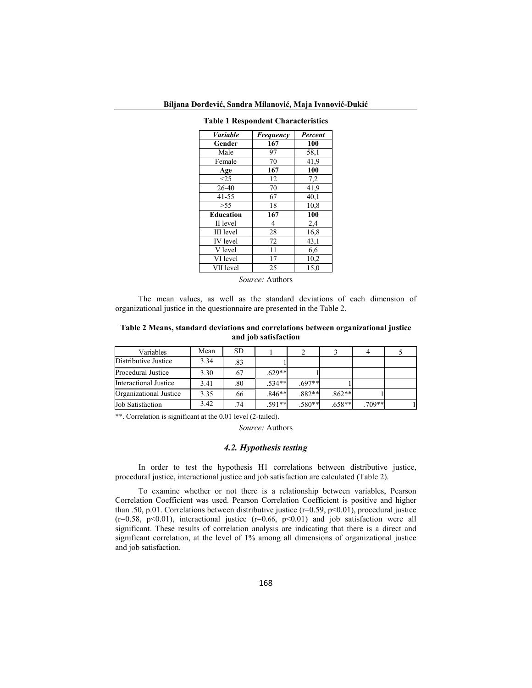|  | Biljana Đorđević, Sandra Milanović, Maja Ivanović-Đukić |  |  |
|--|---------------------------------------------------------|--|--|
|  |                                                         |  |  |

| Variable         | Frequency | Percent |
|------------------|-----------|---------|
| Gender           | 167       | 100     |
| Male             | 97        | 58,1    |
| Female           | 70        | 41,9    |
| Age              | 167       | 100     |
| <25              | 12        | 7,2     |
| $26-40$          | 70        | 41,9    |
| $41 - 55$        | 67        | 40,1    |
| > 55             | 18        | 10,8    |
| <b>Education</b> | 167       | 100     |
| II level         | 4         | 2,4     |
| III level        | 28        | 16,8    |
| <b>IV</b> level  | 72        | 43,1    |
| V level          | 11        | 6,6     |
| VI level         | 17        | 10,2    |
| VII level        | 25        | 15,0    |

**Table 1 Respondent Characteristics** 

*Source:* Authors

The mean values, as well as the standard deviations of each dimension of organizational justice in the questionnaire are presented in the Table 2.

**Table 2 Means, standard deviations and correlations between organizational justice and job satisfaction** 

| Variables               | Mean | <b>SD</b> |          |          |          |          |  |
|-------------------------|------|-----------|----------|----------|----------|----------|--|
| Distributive Justice    | 3.34 | .83       |          |          |          |          |  |
| Procedural Justice      | 3.30 | .67       | $.629**$ |          |          |          |  |
| Interactional Justice   | 3.41 | .80       | $.534**$ | $.697**$ |          |          |  |
| Organizational Justice  | 3.35 | .66       | $.846**$ | $.882**$ | $.862**$ |          |  |
| <b>Job Satisfaction</b> | 3.42 | .74       | $.591**$ | $.580**$ | $.658**$ | $.709**$ |  |

\*\*. Correlation is significant at the 0.01 level (2-tailed).

*Source:* Authors

## *4.2. Hypothesis testing*

In order to test the hypothesis H1 correlations between distributive justice, procedural justice, interactional justice and job satisfaction are calculated (Table 2).

To examine whether or not there is a relationship between variables, Pearson Correlation Coefficient was used. Pearson Correlation Coefficient is positive and higher than .50, p.01. Correlations between distributive justice (r=0.59, p<0.01), procedural justice ( $r=0.58$ ,  $p<0.01$ ), interactional justice ( $r=0.66$ ,  $p<0.01$ ) and job satisfaction were all significant. These results of correlation analysis are indicating that there is a direct and significant correlation, at the level of 1% among all dimensions of organizational justice and job satisfaction.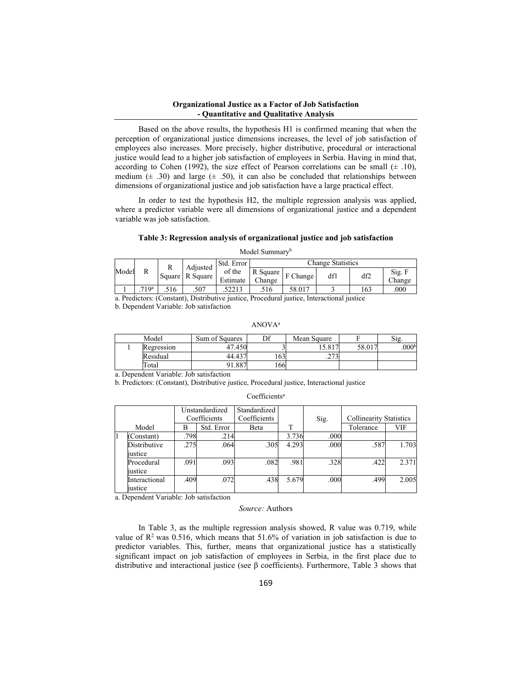Based on the above results, the hypothesis H1 is confirmed meaning that when the perception of organizational justice dimensions increases, the level of job satisfaction of employees also increases. More precisely, higher distributive, procedural or interactional justice would lead to a higher job satisfaction of employees in Serbia. Having in mind that, according to Cohen (1992), the size effect of Pearson correlations can be small  $(\pm .10)$ , medium  $(\pm 0.30)$  and large  $(\pm 0.50)$ , it can also be concluded that relationships between dimensions of organizational justice and job satisfaction have a large practical effect.

In order to test the hypothesis H2, the multiple regression analysis was applied, where a predictor variable were all dimensions of organizational justice and a dependent variable was job satisfaction.

#### **Table 3: Regression analysis of organizational justice and job satisfaction**

Model Summaryb

|       |                  |      | Adiusted        | Std. Error         | Change Statistics  |          |     |     |                  |  |
|-------|------------------|------|-----------------|--------------------|--------------------|----------|-----|-----|------------------|--|
| Model | R                |      | Square R Square | of the<br>Estimate | R Square<br>Change | F Change | dfl | df2 | Sig. F<br>Change |  |
|       | 71Q <sup>a</sup> | .516 | .507            | .52213             | .516               | 58.017   |     | 163 | .000             |  |

a. Predictors: (Constant), Distributive justice, Procedural justice, Interactional justice

b. Dependent Variable: Job satisfaction

ANOVAa

| Model      | Sum of Squares | r c           | Mean Square  |        | $\mathrm{S1g}$ .  |
|------------|----------------|---------------|--------------|--------|-------------------|
| Regression | 47.450         |               | 15.817       | 58.017 | .000 <sup>b</sup> |
| Residual   | 44.437         | $\sim$<br>103 | 272<br>.2751 |        |                   |
| Total      | 1.887          | 166           |              |        |                   |

a. Dependent Variable: Job satisfaction

b. Predictors: (Constant), Distributive justice, Procedural justice, Interactional justice

| Coefficients <sup>a</sup> |  |  |  |  |  |
|---------------------------|--|--|--|--|--|
|---------------------------|--|--|--|--|--|

|  |               |      | Unstandardized | Standardized |       |      |                                |       |
|--|---------------|------|----------------|--------------|-------|------|--------------------------------|-------|
|  |               |      | Coefficients   | Coefficients |       | Sig. | <b>Collinearity Statistics</b> |       |
|  | Model         | В    | Std. Error     | Beta         | T     |      | Tolerance                      | VIF   |
|  | Constant)     | .798 | .214           |              | 3.736 | .000 |                                |       |
|  | Distributive  | .275 | .064           | .305         | 4.293 | .000 | .587                           | 1.703 |
|  | iustice       |      |                |              |       |      |                                |       |
|  | Procedural    | .091 | .093           | .082         | .981  | .328 | .422                           | 2.371 |
|  | iustice       |      |                |              |       |      |                                |       |
|  | Interactional | .409 | .072           | .438         | 5.679 | .000 | .499                           | 2.005 |
|  | iustice       |      |                |              |       |      |                                |       |

a. Dependent Variable: Job satisfaction

#### *Source:* Authors

In Table 3, as the multiple regression analysis showed, R value was 0.719, while value of  $\mathbb{R}^2$  was 0.516, which means that 51.6% of variation in job satisfaction is due to predictor variables. This, further, means that organizational justice has a statistically significant impact on job satisfaction of employees in Serbia, in the first place due to distributive and interactional justice (see β coefficients). Furthermore, Table 3 shows that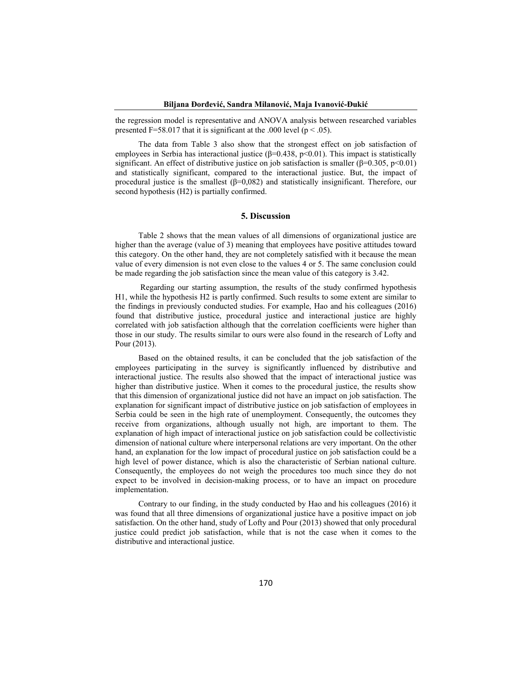the regression model is representative and ANOVA analysis between researched variables presented F=58.017 that it is significant at the .000 level ( $p < .05$ ).

The data from Table 3 also show that the strongest effect on job satisfaction of employees in Serbia has interactional justice ( $\beta$ =0.438, p<0.01). This impact is statistically significant. An effect of distributive justice on job satisfaction is smaller ( $\beta$ =0.305, p<0.01) and statistically significant, compared to the interactional justice. But, the impact of procedural justice is the smallest  $(\beta=0.082)$  and statistically insignificant. Therefore, our second hypothesis (H2) is partially confirmed.

## **5. Discussion**

Table 2 shows that the mean values of all dimensions of organizational justice are higher than the average (value of 3) meaning that employees have positive attitudes toward this category. On the other hand, they are not completely satisfied with it because the mean value of every dimension is not even close to the values 4 or 5. The same conclusion could be made regarding the job satisfaction since the mean value of this category is 3.42.

 Regarding our starting assumption, the results of the study confirmed hypothesis H1, while the hypothesis H2 is partly confirmed. Such results to some extent are similar to the findings in previously conducted studies. For example, Hao and his colleagues (2016) found that distributive justice, procedural justice and interactional justice are highly correlated with job satisfaction although that the correlation coefficients were higher than those in our study. The results similar to ours were also found in the research of Lofty and Pour (2013).

Based on the obtained results, it can be concluded that the job satisfaction of the employees participating in the survey is significantly influenced by distributive and interactional justice. The results also showed that the impact of interactional justice was higher than distributive justice. When it comes to the procedural justice, the results show that this dimension of organizational justice did not have an impact on job satisfaction. The explanation for significant impact of distributive justice on job satisfaction of employees in Serbia could be seen in the high rate of unemployment. Consequently, the outcomes they receive from organizations, although usually not high, are important to them. The explanation of high impact of interactional justice on job satisfaction could be collectivistic dimension of national culture where interpersonal relations are very important. On the other hand, an explanation for the low impact of procedural justice on job satisfaction could be a high level of power distance, which is also the characteristic of Serbian national culture. Consequently, the employees do not weigh the procedures too much since they do not expect to be involved in decision-making process, or to have an impact on procedure implementation.

Contrary to our finding, in the study conducted by Hao and his colleagues (2016) it was found that all three dimensions of organizational justice have a positive impact on job satisfaction. On the other hand, study of Lofty and Pour (2013) showed that only procedural justice could predict job satisfaction, while that is not the case when it comes to the distributive and interactional justice.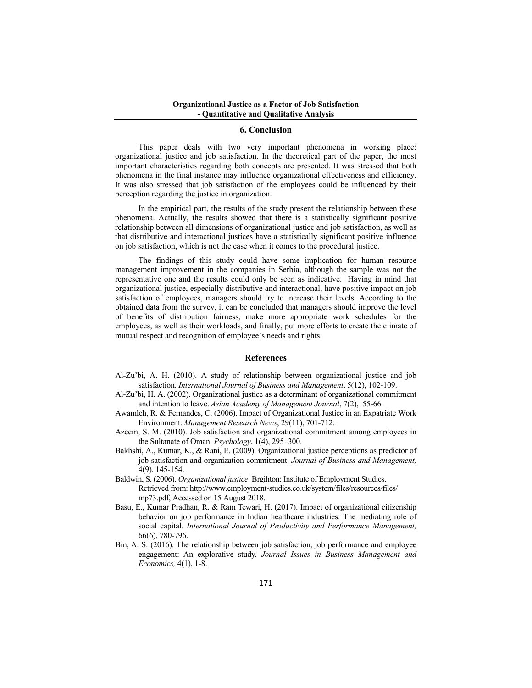### **6. Conclusion**

This paper deals with two very important phenomena in working place: organizational justice and job satisfaction. In the theoretical part of the paper, the most important characteristics regarding both concepts are presented. It was stressed that both phenomena in the final instance may influence organizational effectiveness and efficiency. It was also stressed that job satisfaction of the employees could be influenced by their perception regarding the justice in organization.

In the empirical part, the results of the study present the relationship between these phenomena. Actually, the results showed that there is a statistically significant positive relationship between all dimensions of organizational justice and job satisfaction, as well as that distributive and interactional justices have a statistically significant positive influence on job satisfaction, which is not the case when it comes to the procedural justice.

The findings of this study could have some implication for human resource management improvement in the companies in Serbia, although the sample was not the representative one and the results could only be seen as indicative. Having in mind that organizational justice, especially distributive and interactional, have positive impact on job satisfaction of employees, managers should try to increase their levels. According to the obtained data from the survey, it can be concluded that managers should improve the level of benefits of distribution fairness, make more appropriate work schedules for the employees, as well as their workloads, and finally, put more efforts to create the climate of mutual respect and recognition of employee's needs and rights.

## **References**

- Al-Zu'bi, A. H. (2010). A study of relationship between organizational justice and job satisfaction. *International Journal of Business and Management*, 5(12), 102-109.
- Al-Zu'bi, H. A. (2002). Organizational justice as a determinant of organizational commitment and intention to leave. *Asian Academy of Management Journal*, 7(2), 55-66.
- Awamleh, R. & Fernandes, C. (2006). Impact of Organizational Justice in an Expatriate Work Environment. *Management Research News*, 29(11), 701-712.
- Azeem, S. M. (2010). Job satisfaction and organizational commitment among employees in the Sultanate of Oman. *Psychology*, 1(4), 295–300.
- Bakhshi, A., Kumar, K., & Rani, E. (2009). Organizational justice perceptions as predictor of job satisfaction and organization commitment. *Journal of Business and Management,* 4(9), 145-154.
- Baldwin, S. (2006). *Organizational justice*. Brgihton: Institute of Employment Studies. Retrieved from: http://www.employment-studies.co.uk/system/files/resources/files/ mp73.pdf, Accessed on 15 August 2018.
- Basu, E., Kumar Pradhan, R. & Ram Tewari, H. (2017). Impact of organizational citizenship behavior on job performance in Indian healthcare industries: The mediating role of social capital. *International Journal of Productivity and Performance Management,*  66(6), 780-796.
- Bin, A. S. (2016). The relationship between job satisfaction, job performance and employee engagement: An explorative study. *Journal Issues in Business Management and Economics,* 4(1), 1-8.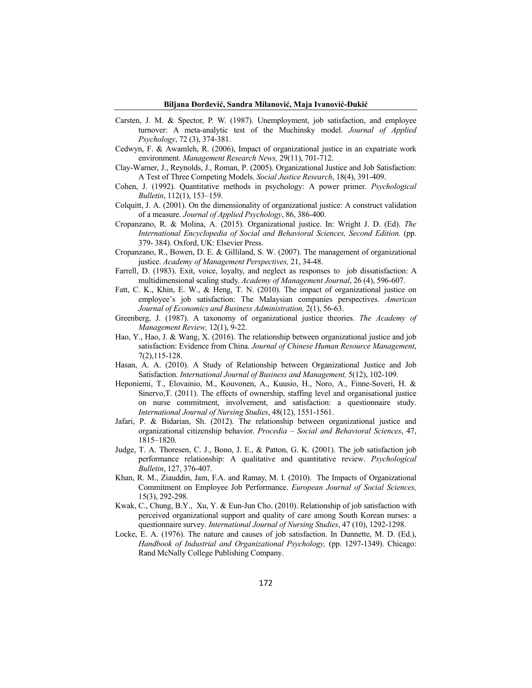- Carsten, J. M. & Spector, P. W. (1987). Unemployment, job satisfaction, and employee turnover: A meta-analytic test of the Muchinsky model. *Journal of Applied Psychology*, 72 (3), 374-381.
- Cedwyn, F. & Awamleh, R. (2006), Impact of organizational justice in an expatriate work environment. *Management Research News,* 29(11), 701-712.
- Clay-Warner, J., Reynolds, J., Roman, P. (2005). Organizational Justice and Job Satisfaction: A Test of Three Competing Models. *Social Justice Research*, 18(4), 391-409.
- Cohen, J. (1992). Quantitative methods in psychology: A power primer. *Psychological Bulletin*, 112(1), 153–159.
- Colquitt, J. A. (2001). On the dimensionality of organizational justice: A construct validation of a measure. *Journal of Applied Psychology*, 86, 386-400.
- Cropanzano, R. & Molina, A. (2015). Organizational justice. In: Wright J. D. (Ed). *The International Encyclopedia of Social and Behavioral Sciences, Second Edition.* (pp. 379- 384). Oxford, UK: Elsevier Press.
- Cropanzano, R., Bowen, D. E. & Gilliland, S. W. (2007). The management of organizational justice. *Academy of Management Perspectives,* 21, 34-48.
- Farrell, D. (1983). Exit, voice, loyalty, and neglect as responses to job dissatisfaction: A multidimensional scaling study. *Academy of Management Journal*, 26 (4), 596-607.
- Fatt, C. K., Khin, E. W., & Heng, T. N. (2010). The impact of organizational justice on employee's job satisfaction: The Malaysian companies perspectives. *American Journal of Economics and Business Administration,* 2(1), 56-63.
- Greenberg, J. (1987). A taxonomy of organizational justice theories. *The Academy of Management Review,* 12(1), 9-22.
- Hao, Y., Hao, J. & Wang, X. (2016). The relationship between organizational justice and job satisfaction: Evidence from China. *Journal of Chinese Human Resource Management*, 7(2),115-128.
- Hasan, A. A. (2010). A Study of Relationship between Organizational Justice and Job Satisfaction. *International Journal of Business and Management,* 5(12), 102-109.
- Heponiemi, T., Elovainio, M., Kouvonen, A., Kuusio, H., Noro, A., Finne-Soveri, H. & Sinervo,T. (2011). The effects of ownership, staffing level and organisational justice on nurse commitment, involvement, and satisfaction: a questionnaire study. *International Journal of Nursing Studies*, 48(12), 1551-1561.
- Jafari, P. & Bidarian, Sh. (2012). The relationship between organizational justice and organizational citizenship behavior. *Procedia – Social and Behavioral Sciences*, 47, 1815–1820.
- Judge, T. A. Thoresen, C. J., Bono, J. E., & Patton, G. K. (2001). The job satisfaction job performance relationship: A qualitative and quantitative review. *Psychological Bulletin*, 127, 376-407.
- Khan, R. M., Ziauddin, Jam, F.A. and Ramay, M. I. (2010). The Impacts of Organizational Commitment on Employee Job Performance. *European Journal of Social Sciences,* 15(3), 292-298.
- Kwak, C., Chung, B.Y., Xu, Y. & Eun-Jun Cho. (2010). Relationship of job satisfaction with perceived organizational support and quality of care among South Korean nurses: a questionnaire survey. *International Journal of Nursing Studies*, 47 (10), 1292-1298.
- Locke, E. A. (1976). The nature and causes of job satisfaction. In Dunnette, M. D. (Ed.), *Handbook of Industrial and Organizational Psychology,* (pp. 1297-1349). Chicago: Rand McNally College Publishing Company.